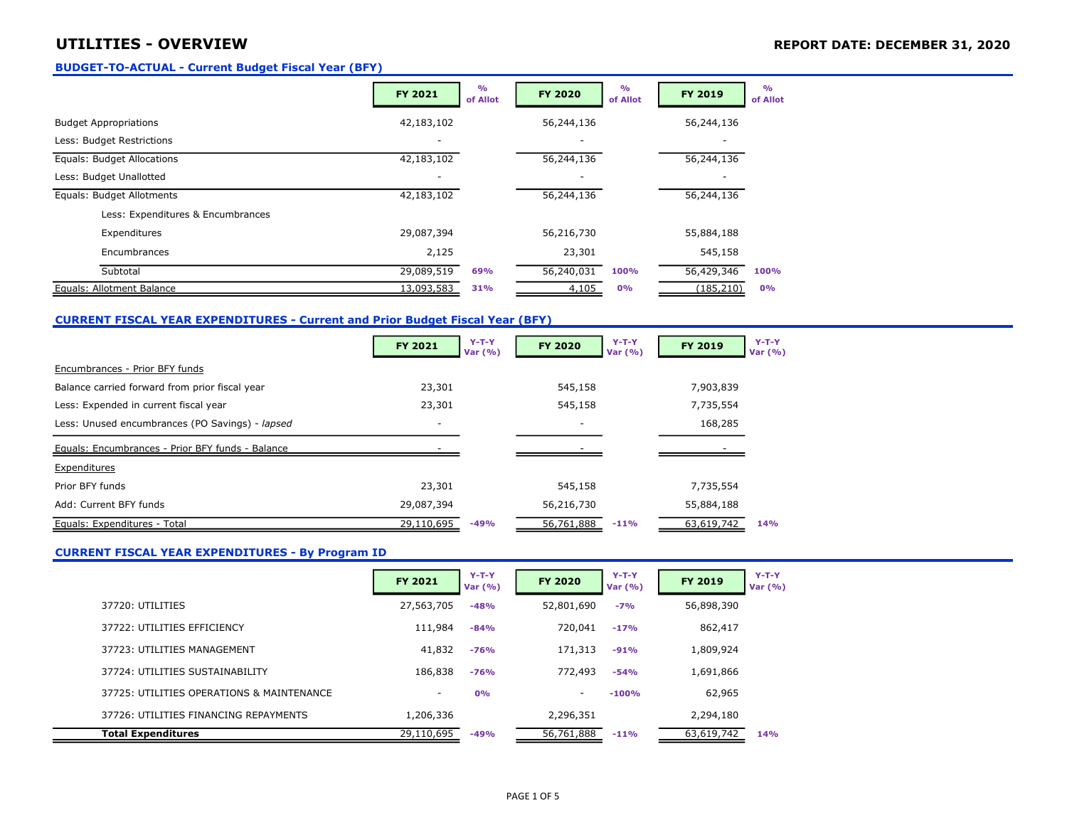## UTILITIES - OVERVIEW **EXECUTER AND INCORPORT DATE: DECEMBER 31, 2020**

#### BUDGET-TO-ACTUAL - Current Budget Fiscal Year (BFY)

|                                   | FY 2021    | O <sub>0</sub><br>of Allot | <b>FY 2020</b> | O <sub>0</sub><br>of Allot | <b>FY 2019</b> | O/2<br>of Allot |
|-----------------------------------|------------|----------------------------|----------------|----------------------------|----------------|-----------------|
| <b>Budget Appropriations</b>      | 42,183,102 |                            | 56,244,136     |                            | 56,244,136     |                 |
| Less: Budget Restrictions         |            |                            |                |                            |                |                 |
| Equals: Budget Allocations        | 42,183,102 |                            | 56,244,136     |                            | 56,244,136     |                 |
| Less: Budget Unallotted           |            |                            |                |                            |                |                 |
| Equals: Budget Allotments         | 42,183,102 |                            | 56,244,136     |                            | 56,244,136     |                 |
| Less: Expenditures & Encumbrances |            |                            |                |                            |                |                 |
| Expenditures                      | 29,087,394 |                            | 56,216,730     |                            | 55,884,188     |                 |
| Encumbrances                      | 2,125      |                            | 23,301         |                            | 545,158        |                 |
| Subtotal                          | 29,089,519 | 69%                        | 56,240,031     | 100%                       | 56,429,346     | 100%            |
| Equals: Allotment Balance         | 13,093,583 | 31%                        | 4,105          | 0%                         | (185, 210)     | 0%              |

### CURRENT FISCAL YEAR EXPENDITURES - Current and Prior Budget Fiscal Year (BFY)

|                                                  | FY 2021    | $Y-T-Y$<br>Var $(% )$ | FY 2020    | $Y-T-Y$<br>Var $(% )$ | FY 2019    | $Y-T-Y$<br>Var $(% )$ |
|--------------------------------------------------|------------|-----------------------|------------|-----------------------|------------|-----------------------|
| Encumbrances - Prior BFY funds                   |            |                       |            |                       |            |                       |
| Balance carried forward from prior fiscal year   | 23,301     |                       | 545,158    |                       | 7,903,839  |                       |
| Less: Expended in current fiscal year            | 23,301     |                       | 545,158    |                       | 7,735,554  |                       |
| Less: Unused encumbrances (PO Savings) - lapsed  | ۰          |                       | . .        |                       | 168,285    |                       |
| Equals: Encumbrances - Prior BFY funds - Balance |            |                       |            |                       |            |                       |
| Expenditures                                     |            |                       |            |                       |            |                       |
| Prior BFY funds                                  | 23,301     |                       | 545,158    |                       | 7,735,554  |                       |
| Add: Current BFY funds                           | 29,087,394 |                       | 56,216,730 |                       | 55,884,188 |                       |
| Equals: Expenditures - Total                     | 29,110,695 | -49%                  | 56,761,888 | $-11%$                | 63,619,742 | <b>14%</b>            |

#### CURRENT FISCAL YEAR EXPENDITURES - By Program ID

|                                           | <b>FY 2021</b> | $Y-T-Y$<br>Var $(% )$ | <b>FY 2020</b> | $Y-T-Y$<br>Var $(% )$ | <b>FY 2019</b> | $Y-T-Y$<br>Var $(% )$ |
|-------------------------------------------|----------------|-----------------------|----------------|-----------------------|----------------|-----------------------|
| 37720: UTILITIES                          | 27,563,705     | $-48%$                | 52,801,690     | $-7%$                 | 56,898,390     |                       |
| 37722: UTILITIES EFFICIENCY               | 111,984        | $-84%$                | 720,041        | $-17%$                | 862,417        |                       |
| 37723: UTILITIES MANAGEMENT               | 41,832         | $-76%$                | 171,313        | $-91%$                | 1,809,924      |                       |
| 37724: UTILITIES SUSTAINABILITY           | 186,838        | $-76%$                | 772,493        | $-54%$                | 1,691,866      |                       |
| 37725: UTILITIES OPERATIONS & MAINTENANCE | $\sim$         | 0%                    | $\sim$         | $-100%$               | 62,965         |                       |
| 37726: UTILITIES FINANCING REPAYMENTS     | 1,206,336      |                       | 2,296,351      |                       | 2,294,180      |                       |
| Total Expenditures                        | 29,110,695     | $-49%$                | 56,761,888     | $-11%$                | 63,619,742     | 14%                   |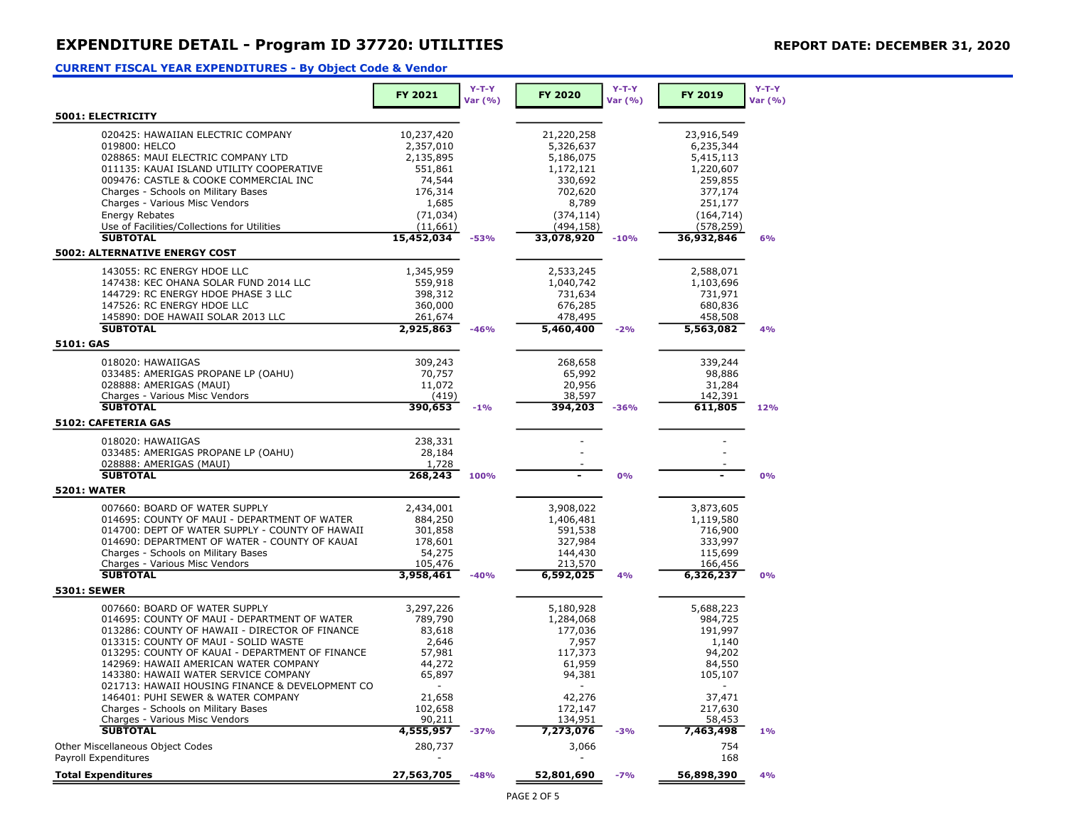## EXPENDITURE DETAIL - Program ID 37720: UTILITIES REPORT DATE: DECEMBER 31, 2020

### CURRENT FISCAL YEAR EXPENDITURES - By Object Code & Vendor

|                                                 |            | $Y-T-Y$ |                | $Y-T-Y$ |            | $Y-T-Y$ |
|-------------------------------------------------|------------|---------|----------------|---------|------------|---------|
|                                                 | FY 2021    | Var (%) | <b>FY 2020</b> | Var (%) | FY 2019    | Var (%) |
| <b>5001: ELECTRICITY</b>                        |            |         |                |         |            |         |
| 020425: HAWAIIAN ELECTRIC COMPANY               | 10,237,420 |         | 21,220,258     |         | 23,916,549 |         |
| 019800: HELCO                                   | 2,357,010  |         | 5,326,637      |         | 6,235,344  |         |
| 028865: MAUI ELECTRIC COMPANY LTD               | 2,135,895  |         | 5,186,075      |         | 5,415,113  |         |
| 011135: KAUAI ISLAND UTILITY COOPERATIVE        | 551,861    |         | 1,172,121      |         | 1,220,607  |         |
| 009476: CASTLE & COOKE COMMERCIAL INC           | 74,544     |         | 330,692        |         | 259,855    |         |
| Charges - Schools on Military Bases             | 176,314    |         | 702,620        |         | 377,174    |         |
| Charges - Various Misc Vendors                  | 1,685      |         | 8,789          |         | 251,177    |         |
| Energy Rebates                                  | (71, 034)  |         | (374, 114)     |         | (164, 714) |         |
| Use of Facilities/Collections for Utilities     | (11,661)   |         | (494, 158)     |         | (578, 259) |         |
| <b>SUBTOTAL</b>                                 | 15,452,034 | $-53%$  | 33,078,920     | $-10%$  | 36,932,846 | 6%      |
| 5002: ALTERNATIVE ENERGY COST                   |            |         |                |         |            |         |
| 143055: RC ENERGY HDOE LLC                      | 1,345,959  |         | 2,533,245      |         | 2,588,071  |         |
| 147438: KEC OHANA SOLAR FUND 2014 LLC           | 559,918    |         | 1,040,742      |         | 1,103,696  |         |
| 144729: RC ENERGY HDOE PHASE 3 LLC              | 398,312    |         | 731,634        |         | 731,971    |         |
| 147526: RC ENERGY HDOE LLC                      | 360,000    |         | 676,285        |         | 680,836    |         |
| 145890: DOE HAWAII SOLAR 2013 LLC               | 261,674    |         | 478,495        |         | 458,508    |         |
| <b>SUBTOTAL</b>                                 | 2,925,863  | $-46%$  | 5,460,400      | $-2%$   | 5,563,082  | 4%      |
| 5101: GAS                                       |            |         |                |         |            |         |
| 018020: HAWAIIGAS                               | 309,243    |         | 268,658        |         | 339,244    |         |
| 033485: AMERIGAS PROPANE LP (OAHU)              | 70,757     |         | 65,992         |         | 98,886     |         |
| 028888: AMERIGAS (MAUI)                         | 11,072     |         | 20,956         |         | 31,284     |         |
| Charges - Various Misc Vendors                  | (419)      |         | 38,597         |         | 142,391    |         |
| <b>SUBTOTAL</b>                                 | 390,653    | $-1%$   | 394,203        | $-36%$  | 611,805    | 12%     |
| 5102: CAFETERIA GAS                             |            |         |                |         |            |         |
| 018020: HAWAIIGAS                               | 238,331    |         |                |         |            |         |
| 033485: AMERIGAS PROPANE LP (OAHU)              | 28,184     |         |                |         |            |         |
| 028888: AMERIGAS (MAUI)                         | 1,728      |         |                |         |            |         |
| <b>SUBTOTAL</b>                                 | 268,243    | 100%    |                | 0%      |            | 0%      |
| <b>5201: WATER</b>                              |            |         |                |         |            |         |
| 007660: BOARD OF WATER SUPPLY                   | 2,434,001  |         | 3,908,022      |         | 3,873,605  |         |
| 014695: COUNTY OF MAUI - DEPARTMENT OF WATER    | 884,250    |         | 1,406,481      |         | 1,119,580  |         |
| 014700: DEPT OF WATER SUPPLY - COUNTY OF HAWAII | 301,858    |         | 591,538        |         | 716,900    |         |
| 014690: DEPARTMENT OF WATER - COUNTY OF KAUAI   | 178,601    |         | 327,984        |         | 333,997    |         |
| Charges - Schools on Military Bases             | 54,275     |         | 144,430        |         | 115,699    |         |
| Charges - Various Misc Vendors                  | 105,476    |         | 213,570        |         | 166,456    |         |
| <b>SUBTOTAL</b>                                 | 3,958,461  | $-40%$  | 6,592,025      | 4%      | 6,326,237  | 0%      |
| <b>5301: SEWER</b>                              |            |         |                |         |            |         |
| 007660: BOARD OF WATER SUPPLY                   | 3,297,226  |         | 5,180,928      |         | 5,688,223  |         |
| 014695: COUNTY OF MAUI - DEPARTMENT OF WATER    | 789,790    |         | 1,284,068      |         | 984,725    |         |
| 013286: COUNTY OF HAWAII - DIRECTOR OF FINANCE  | 83,618     |         | 177,036        |         | 191,997    |         |
| 013315: COUNTY OF MAUI - SOLID WASTE            | 2,646      |         | 7,957          |         | 1,140      |         |
| 013295: COUNTY OF KAUAI - DEPARTMENT OF FINANCE | 57,981     |         | 117,373        |         | 94,202     |         |
| 142969: HAWAII AMERICAN WATER COMPANY           | 44,272     |         | 61,959         |         | 84,550     |         |
| 143380: HAWAII WATER SERVICE COMPANY            | 65,897     |         | 94,381         |         | 105,107    |         |
| 021713: HAWAII HOUSING FINANCE & DEVELOPMENT CO |            |         |                |         |            |         |
| 146401: PUHI SEWER & WATER COMPANY              | 21,658     |         | 42,276         |         | 37,471     |         |
| Charges - Schools on Military Bases             | 102,658    |         | 172,147        |         | 217,630    |         |
| Charges - Various Misc Vendors                  | 90,211     |         | 134,951        |         | 58,453     |         |
| <b>SUBTOTAL</b>                                 | 4,555,957  | $-37%$  | 7,273,076      | $-3%$   | 7,463,498  | 1%      |
| Other Miscellaneous Object Codes                | 280,737    |         | 3,066          |         | 754        |         |
| Payroll Expenditures                            |            |         |                |         | 168        |         |
| <b>Total Expenditures</b>                       | 27,563,705 | $-48%$  | 52,801,690     | $-7%$   | 56,898,390 | 4%      |
|                                                 |            |         |                |         |            |         |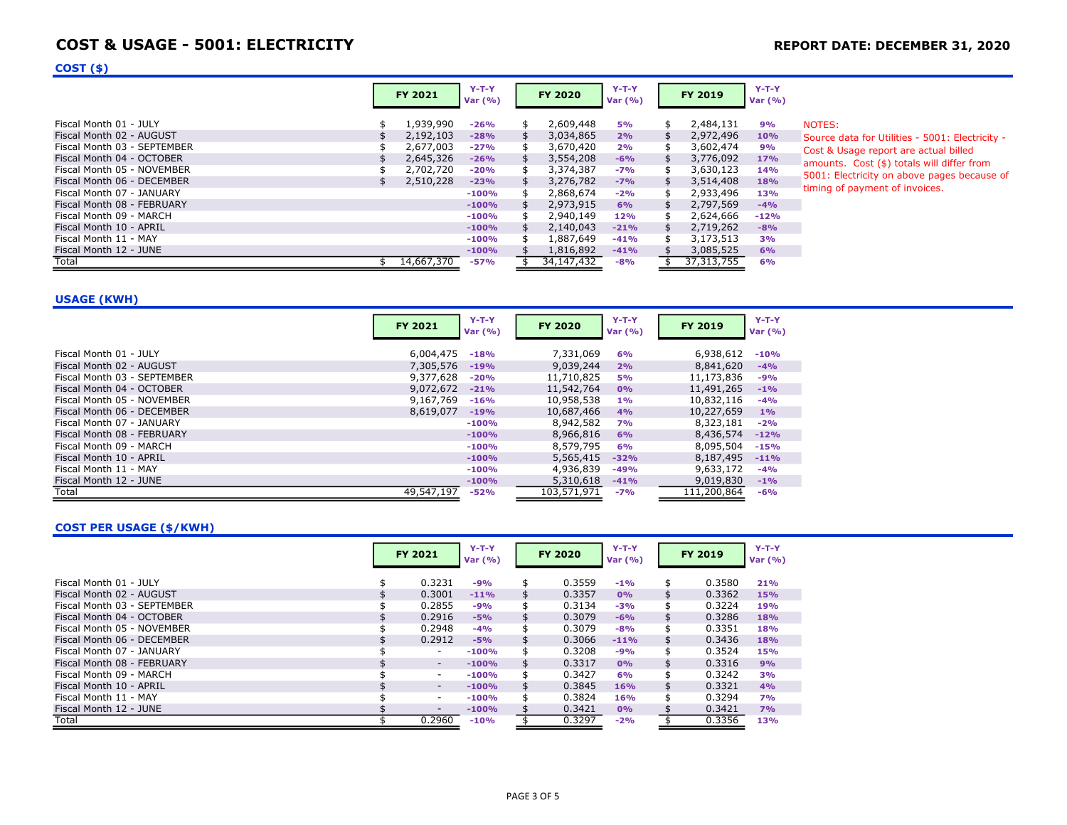## COST & USAGE - 5001: ELECTRICITY **EXAMPLE 2018** REPORT DATE: DECEMBER 31, 2020

### $COST($ \$)

| 1,939,990<br>2,609,448<br>2,484,131<br>Fiscal Month 01 - JULY<br>$-26%$<br>9%<br><b>5%</b><br>\$.<br>NOTES:<br>Æ.<br>2,192,103<br>3,034,865<br>2,972,496<br>Fiscal Month 02 - AUGUST<br>$-28%$<br>2%<br>10%<br>Source data for Utilities - 5001: Electricity -<br>Fiscal Month 03 - SEPTEMBER<br>2,677,003<br>3,670,420<br>3,602,474<br>9%<br>$-27%$<br>2%<br>\$.<br>\$.<br>Cost & Usage report are actual billed<br>2,645,326<br>3,554,208<br>3,776,092<br>Fiscal Month 04 - OCTOBER<br>17%<br>$-26%$<br>$-6%$<br>amounts. Cost (\$) totals will differ from<br>2,702,720<br>3,630,123<br>3,374,387<br>Fiscal Month 05 - NOVEMBER<br>$-7%$<br>$-20%$<br>14%<br>2,510,228<br>3,276,782<br>3,514,408<br>Fiscal Month 06 - DECEMBER<br><b>18%</b><br>$-23%$<br>$-7%$<br>$\mathcal{F}$<br>timing of payment of invoices.<br>2,933,496<br>Fiscal Month 07 - JANUARY<br>2,868,674<br>13%<br>$-100%$<br>$-2%$<br>Æ.<br>2,797,569<br>Fiscal Month 08 - FEBRUARY<br>2,973,915<br>$-4%$<br>6%<br>$-100%$<br>2,624,666<br>Fiscal Month 09 - MARCH<br>2,940,149<br>$-12%$<br>$-100%$<br>12%<br>2,719,262<br>Fiscal Month 10 - APRIL<br>2,140,043<br>$-21%$<br>$-8%$<br>$-100%$<br>3,173,513<br>Fiscal Month 11 - MAY<br>1,887,649<br>3%<br>$-100%$<br>$-41%$<br>3,085,525<br>Fiscal Month 12 - JUNE<br>1,816,892<br>6%<br>$-41%$<br>$-100%$ |  | <b>FY 2021</b> | $Y-T-Y$<br>Var (%) | FY 2020 | $Y-T-Y$<br>Var (%) | FY 2019 | $Y-T-Y$<br>Var (%) |                                             |
|----------------------------------------------------------------------------------------------------------------------------------------------------------------------------------------------------------------------------------------------------------------------------------------------------------------------------------------------------------------------------------------------------------------------------------------------------------------------------------------------------------------------------------------------------------------------------------------------------------------------------------------------------------------------------------------------------------------------------------------------------------------------------------------------------------------------------------------------------------------------------------------------------------------------------------------------------------------------------------------------------------------------------------------------------------------------------------------------------------------------------------------------------------------------------------------------------------------------------------------------------------------------------------------------------------------------------------|--|----------------|--------------------|---------|--------------------|---------|--------------------|---------------------------------------------|
| Total<br>14,667,370<br>37, 313, 755<br>34,147,432<br>$-57%$<br>$-8%$<br>6%                                                                                                                                                                                                                                                                                                                                                                                                                                                                                                                                                                                                                                                                                                                                                                                                                                                                                                                                                                                                                                                                                                                                                                                                                                                       |  |                |                    |         |                    |         |                    | 5001: Electricity on above pages because of |

#### USAGE (KWH)

|                             | <b>FY 2021</b> | $Y-T-Y$<br>Var $(% )$ | <b>FY 2020</b> | $Y-T-Y$<br>Var $(% )$ | <b>FY 2019</b> | $Y-T-Y$<br>Var $(% )$ |
|-----------------------------|----------------|-----------------------|----------------|-----------------------|----------------|-----------------------|
| Fiscal Month 01 - JULY      | 6,004,475      | $-18%$                | 7,331,069      | 6%                    | 6,938,612      | $-10%$                |
| Fiscal Month 02 - AUGUST    | 7,305,576      | $-19%$                | 9,039,244      | 2%                    | 8,841,620      | $-4%$                 |
| Fiscal Month 03 - SEPTEMBER | 9,377,628      | $-20%$                | 11,710,825     | <b>5%</b>             | 11,173,836     | $-9%$                 |
| Fiscal Month 04 - OCTOBER   | 9,072,672      | $-21%$                | 11,542,764     | 0%                    | 11,491,265     | $-1%$                 |
| Fiscal Month 05 - NOVEMBER  | 9,167,769      | $-16%$                | 10,958,538     | $1\%$                 | 10,832,116     | $-4%$                 |
| Fiscal Month 06 - DECEMBER  | 8,619,077      | $-19%$                | 10,687,466     | 4%                    | 10,227,659     | 1%                    |
| Fiscal Month 07 - JANUARY   |                | $-100%$               | 8,942,582      | <b>7%</b>             | 8,323,181      | $-2%$                 |
| Fiscal Month 08 - FEBRUARY  |                | $-100%$               | 8,966,816      | 6%                    | 8,436,574      | $-12%$                |
| Fiscal Month 09 - MARCH     |                | $-100%$               | 8,579,795      | 6%                    | 8,095,504      | $-15%$                |
| Fiscal Month 10 - APRIL     |                | $-100%$               | 5,565,415      | $-32%$                | 8,187,495      | $-11%$                |
| Fiscal Month 11 - MAY       |                | $-100%$               | 4,936,839      | $-49%$                | 9,633,172      | $-4%$                 |
| Fiscal Month 12 - JUNE      |                | $-100%$               | 5,310,618      | $-41%$                | 9,019,830      | $-1%$                 |
| Total                       | 49,547,197     | $-52%$                | 103,571,971    | $-7%$                 | 111,200,864    | $-6%$                 |

#### COST PER USAGE (\$/KWH)

|                             | <b>FY 2021</b>           | $Y-T-Y$<br>Var $(% )$ |    | <b>FY 2020</b> | $Y-T-Y$<br>Var $(% )$ | <b>FY 2019</b> | $Y-T-Y$<br>Var $(% )$ |
|-----------------------------|--------------------------|-----------------------|----|----------------|-----------------------|----------------|-----------------------|
| Fiscal Month 01 - JULY      | 0.3231                   | $-9%$                 | \$ | 0.3559         | $-1\%$                | \$<br>0.3580   | 21%                   |
| Fiscal Month 02 - AUGUST    | 0.3001                   | $-11%$                | \$ | 0.3357         | 0%                    | \$<br>0.3362   | 15%                   |
| Fiscal Month 03 - SEPTEMBER | 0.2855                   | $-9%$                 |    | 0.3134         | $-3%$                 | \$<br>0.3224   | 19%                   |
| Fiscal Month 04 - OCTOBER   | 0.2916                   | $-5%$                 |    | 0.3079         | $-6%$                 | \$<br>0.3286   | 18%                   |
| Fiscal Month 05 - NOVEMBER  | 0.2948                   | $-4%$                 | \$ | 0.3079         | $-8%$                 | \$<br>0.3351   | 18%                   |
| Fiscal Month 06 - DECEMBER  | 0.2912                   | $-5%$                 | \$ | 0.3066         | $-11%$                | \$<br>0.3436   | 18%                   |
| Fiscal Month 07 - JANUARY   | ۰.                       | $-100%$               | \$ | 0.3208         | $-9%$                 | \$<br>0.3524   | 15%                   |
| Fiscal Month 08 - FEBRUARY  | ۰.                       | $-100%$               |    | 0.3317         | 0%                    | \$<br>0.3316   | 9%                    |
| Fiscal Month 09 - MARCH     | ۰.                       | $-100%$               | \$ | 0.3427         | 6%                    | \$<br>0.3242   | 3%                    |
| Fiscal Month 10 - APRIL     | $\overline{\phantom{a}}$ | $-100%$               | \$ | 0.3845         | 16%                   | \$<br>0.3321   | 4%                    |
| Fiscal Month 11 - MAY       | ۰.                       | $-100%$               | \$ | 0.3824         | 16%                   | \$<br>0.3294   | 7%                    |
| Fiscal Month 12 - JUNE      | -                        | $-100%$               |    | 0.3421         | 0%                    | 0.3421         | 7%                    |
| Total                       | 0.2960                   | $-10%$                |    | 0.3297         | $-2%$                 | 0.3356         | 13%                   |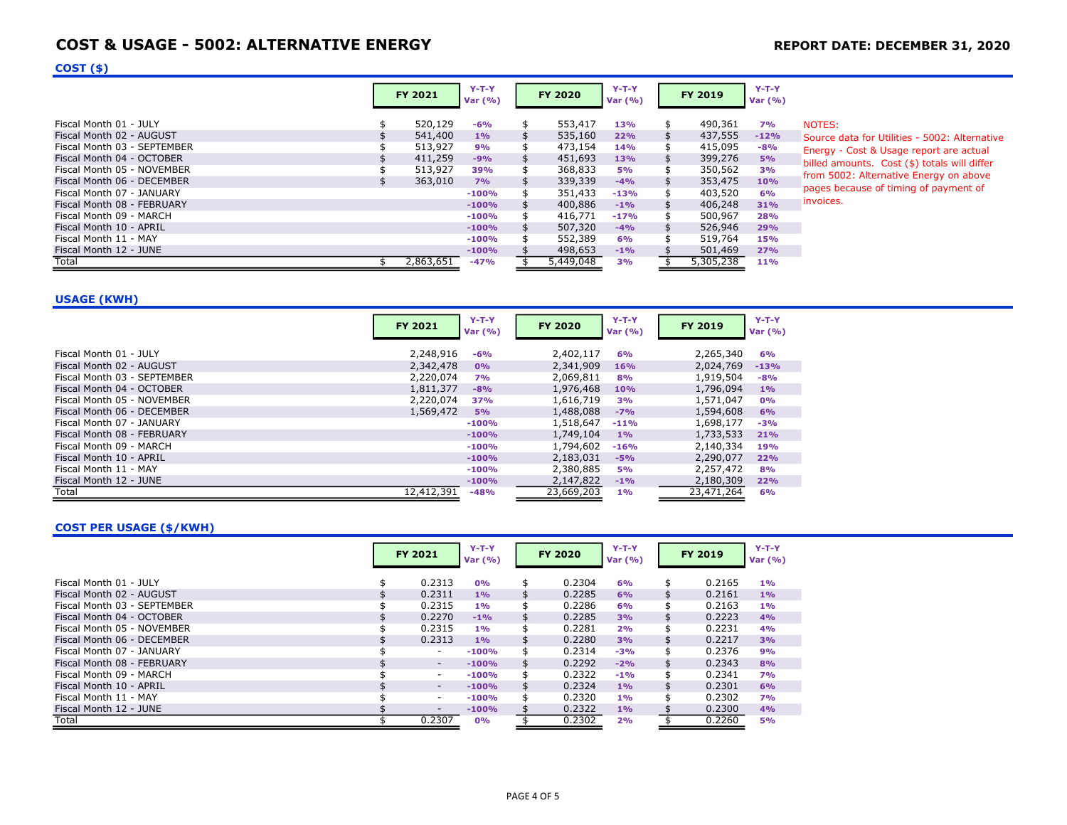# COST & USAGE - 5002: ALTERNATIVE ENERGY **REPORT DATE: DECEMBER 31, 2020**

### $COST($ \$)

|                                                                                                                                                                                                                                                                                                                                                         | <b>FY 2021</b>                                                              | $Y-T-Y$<br>Var (%)                                                                                                  | <b>FY 2020</b>                                                                                                                                | $Y-T-Y$<br>Var (%)                                                                                               |                                        | FY 2019                                                                                                                                       | $Y-T-Y$<br>Var $(% )$                                                                           |                                                                                                                                                                                                                                                    |
|---------------------------------------------------------------------------------------------------------------------------------------------------------------------------------------------------------------------------------------------------------------------------------------------------------------------------------------------------------|-----------------------------------------------------------------------------|---------------------------------------------------------------------------------------------------------------------|-----------------------------------------------------------------------------------------------------------------------------------------------|------------------------------------------------------------------------------------------------------------------|----------------------------------------|-----------------------------------------------------------------------------------------------------------------------------------------------|-------------------------------------------------------------------------------------------------|----------------------------------------------------------------------------------------------------------------------------------------------------------------------------------------------------------------------------------------------------|
| Fiscal Month 01 - JULY<br>Fiscal Month 02 - AUGUST<br>Fiscal Month 03 - SEPTEMBER<br>Fiscal Month 04 - OCTOBER<br>Fiscal Month 05 - NOVEMBER<br>Fiscal Month 06 - DECEMBER<br>Fiscal Month 07 - JANUARY<br>Fiscal Month 08 - FEBRUARY<br>Fiscal Month 09 - MARCH<br>Fiscal Month 10 - APRIL<br>Fiscal Month 11 - MAY<br>Fiscal Month 12 - JUNE<br>Total | 520,129<br>541,400<br>513,927<br>411,259<br>513,927<br>363,010<br>2,863,651 | $-6%$<br>1%<br>9%<br>$-9%$<br>39%<br>7%<br>$-100%$<br>$-100%$<br>$-100%$<br>$-100%$<br>$-100%$<br>$-100%$<br>$-47%$ | 553,417<br>535,160<br>473,154<br>451,693<br>368,833<br>339,339<br>351,433<br>400,886<br>416,771<br>507,320<br>552,389<br>498,653<br>5,449,048 | 13%<br>22%<br><b>14%</b><br>13%<br><b>5%</b><br>$-4%$<br>$-13%$<br>$-1%$<br>$-17%$<br>$-4%$<br>6%<br>$-1%$<br>3% | \$<br>\$<br>\$<br>\$<br>\$<br>\$<br>\$ | 490,361<br>437,555<br>415,095<br>399,276<br>350,562<br>353,475<br>403,520<br>406,248<br>500,967<br>526,946<br>519,764<br>501,469<br>5,305,238 | 7%<br>$-12%$<br>$-8%$<br>5%<br>3%<br>10%<br>6%<br>31%<br>28%<br>29%<br>15%<br>27%<br><b>11%</b> | NOTES:<br>Source data for Utilities - 5002: Alternative<br>Energy - Cost & Usage report are actual<br>billed amounts. Cost (\$) totals will differ<br>from 5002: Alternative Energy on above<br>pages because of timing of payment of<br>invoices. |

USAGE (KWH)

|                             | <b>FY 2021</b> | $Y-T-Y$<br>Var $(% )$ | <b>FY 2020</b> | $Y-T-Y$<br>Var $(% )$ | <b>FY 2019</b> | $Y-T-Y$<br>Var (%) |
|-----------------------------|----------------|-----------------------|----------------|-----------------------|----------------|--------------------|
| Fiscal Month 01 - JULY      | 2,248,916      | -6%                   | 2,402,117      | 6%                    | 2,265,340      | 6%                 |
| Fiscal Month 02 - AUGUST    | 2,342,478      | 0%                    | 2,341,909      | 16%                   | 2,024,769      | $-13%$             |
| Fiscal Month 03 - SEPTEMBER | 2,220,074      | 7%                    | 2,069,811      | 8%                    | 1,919,504      | $-8%$              |
| Fiscal Month 04 - OCTOBER   | 1,811,377      | $-8%$                 | 1,976,468      | 10%                   | 1,796,094      | 1%                 |
| Fiscal Month 05 - NOVEMBER  | 2,220,074      | 37%                   | 1,616,719      | 3%                    | 1,571,047      | 0%                 |
| Fiscal Month 06 - DECEMBER  | 1,569,472      | 5%                    | 1,488,088      | $-7%$                 | 1,594,608      | 6%                 |
| Fiscal Month 07 - JANUARY   |                | $-100%$               | 1,518,647      | $-11%$                | 1,698,177      | $-3%$              |
| Fiscal Month 08 - FEBRUARY  |                | $-100%$               | 1,749,104      | $1\%$                 | 1,733,533      | 21%                |
| Fiscal Month 09 - MARCH     |                | $-100%$               | 1,794,602      | $-16%$                | 2,140,334      | 19%                |
| Fiscal Month 10 - APRIL     |                | $-100%$               | 2,183,031      | $-5%$                 | 2,290,077      | 22%                |
| Fiscal Month 11 - MAY       |                | $-100%$               | 2,380,885      | <b>5%</b>             | 2,257,472      | 8%                 |
| Fiscal Month 12 - JUNE      |                | $-100%$               | 2,147,822      | $-1%$                 | 2,180,309      | 22%                |
| Total                       | 12,412,391     | $-48%$                | 23,669,203     | $1\%$                 | 23,471,264     | 6%                 |

#### COST PER USAGE (\$/KWH)

|                             | <b>FY 2021</b>           | $Y-T-Y$<br>Var $(% )$ |    | <b>FY 2020</b> | $Y-T-Y$<br>Var $(% )$ | <b>FY 2019</b> | $Y-T-Y$<br>Var $(% )$ |
|-----------------------------|--------------------------|-----------------------|----|----------------|-----------------------|----------------|-----------------------|
| Fiscal Month 01 - JULY      | 0.2313                   | 0%                    | \$ | 0.2304         | 6%                    | \$<br>0.2165   | 1%                    |
| Fiscal Month 02 - AUGUST    | 0.2311                   | $1\%$                 | \$ | 0.2285         | 6%                    | \$<br>0.2161   | 1%                    |
| Fiscal Month 03 - SEPTEMBER | 0.2315                   | 1%                    | \$ | 0.2286         | 6%                    | \$<br>0.2163   | 1%                    |
| Fiscal Month 04 - OCTOBER   | 0.2270                   | $-1\%$                |    | 0.2285         | 3%                    | \$<br>0.2223   | 4%                    |
| Fiscal Month 05 - NOVEMBER  | 0.2315                   | 1%                    | \$ | 0.2281         | 2%                    | \$<br>0.2231   | 4%                    |
| Fiscal Month 06 - DECEMBER  | 0.2313                   | 1%                    | \$ | 0.2280         | 3%                    | \$<br>0.2217   | 3%                    |
| Fiscal Month 07 - JANUARY   | ۰.                       | $-100%$               | \$ | 0.2314         | $-3%$                 | \$<br>0.2376   | 9%                    |
| Fiscal Month 08 - FEBRUARY  | $\overline{\phantom{a}}$ | $-100%$               | \$ | 0.2292         | $-2%$                 | \$<br>0.2343   | 8%                    |
| Fiscal Month 09 - MARCH     | ۰.                       | $-100%$               | \$ | 0.2322         | $-1%$                 | \$<br>0.2341   | 7%                    |
| Fiscal Month 10 - APRIL     | ۰.                       | $-100%$               | \$ | 0.2324         | 1%                    | \$<br>0.2301   | 6%                    |
| Fiscal Month 11 - MAY       | ۰.                       | $-100%$               | \$ | 0.2320         | 1%                    | \$<br>0.2302   | 7%                    |
| Fiscal Month 12 - JUNE      | -                        | $-100%$               |    | 0.2322         | 1%                    | 0.2300         | 4%                    |
| Total                       | 0.2307                   | 0%                    |    | 0.2302         | 2%                    | 0.2260         | <b>5%</b>             |